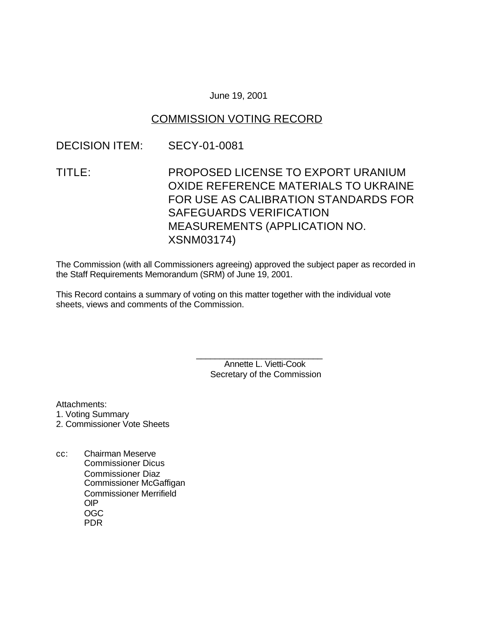#### June 19, 2001

### COMMISSION VOTING RECORD

### DECISION ITEM: SECY-01-0081

TITLE: PROPOSED LICENSE TO EXPORT URANIUM OXIDE REFERENCE MATERIALS TO UKRAINE FOR USE AS CALIBRATION STANDARDS FOR SAFEGUARDS VERIFICATION MEASUREMENTS (APPLICATION NO. XSNM03174)

The Commission (with all Commissioners agreeing) approved the subject paper as recorded in the Staff Requirements Memorandum (SRM) of June 19, 2001.

This Record contains a summary of voting on this matter together with the individual vote sheets, views and comments of the Commission.

> \_\_\_\_\_\_\_\_\_\_\_\_\_\_\_\_\_\_\_\_\_\_\_\_\_\_\_ Annette L. Vietti-Cook Secretary of the Commission

Attachments:

- 1. Voting Summary
- 2. Commissioner Vote Sheets
- cc: Chairman Meserve Commissioner Dicus Commissioner Diaz Commissioner McGaffigan Commissioner Merrifield OIP OGC PDR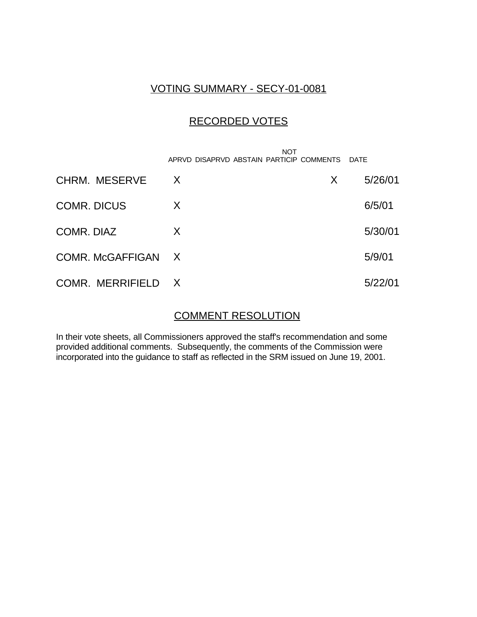## VOTING SUMMARY - SECY-01-0081

## RECORDED VOTES

|                    | APRVD DISAPRVD ABSTAIN PARTICIP COMMENTS DATE | <b>NOT</b> |         |
|--------------------|-----------------------------------------------|------------|---------|
| CHRM. MESERVE      | X                                             | X          | 5/26/01 |
| <b>COMR. DICUS</b> | X                                             |            | 6/5/01  |
| COMR. DIAZ         | X                                             |            | 5/30/01 |
| COMR. McGAFFIGAN X |                                               |            | 5/9/01  |
| COMR. MERRIFIELD X |                                               |            | 5/22/01 |

# COMMENT RESOLUTION

In their vote sheets, all Commissioners approved the staff's recommendation and some provided additional comments. Subsequently, the comments of the Commission were incorporated into the guidance to staff as reflected in the SRM issued on June 19, 2001.